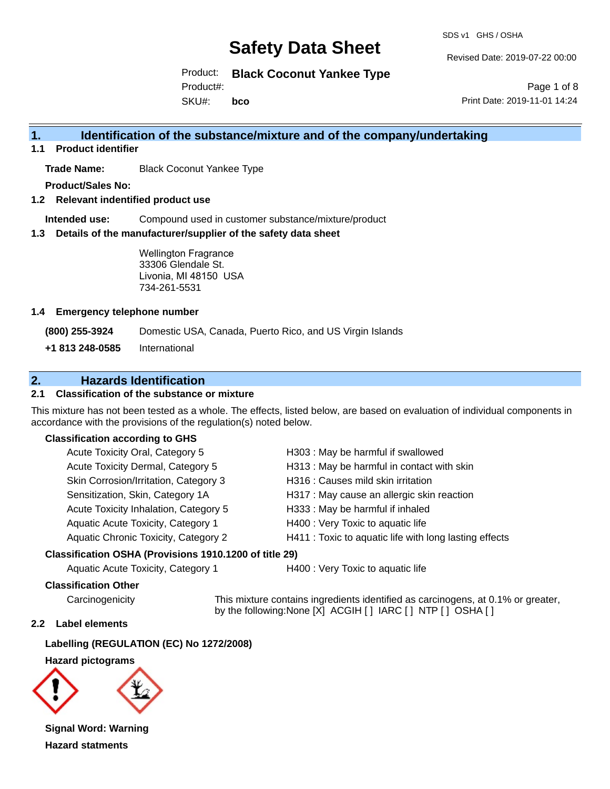SDS v1 GHS / OSHA

Revised Date: 2019-07-22 00:00

Product: **Black Coconut Yankee Type** Product#:

SKU#: **bco**

Page 1 of 8 Print Date: 2019-11-01 14:24

### **1. Identification of the substance/mixture and of the company/undertaking**

**1.1 Product identifier**

**Trade Name:** Black Coconut Yankee Type

**Product/Sales No:**

**1.2 Relevant indentified product use**

**Intended use:** Compound used in customer substance/mixture/product

**1.3 Details of the manufacturer/supplier of the safety data sheet**

Wellington Fragrance 33306 Glendale St. Livonia, MI 48150 USA 734-261-5531

#### **1.4 Emergency telephone number**

**(800) 255-3924** Domestic USA, Canada, Puerto Rico, and US Virgin Islands

**+1 813 248-0585** International

### **2. Hazards Identification**

#### **2.1 Classification of the substance or mixture**

This mixture has not been tested as a whole. The effects, listed below, are based on evaluation of individual components in accordance with the provisions of the regulation(s) noted below.

#### **Classification according to GHS**

| Acute Toxicity Oral, Category 5       | H303: May be harmful if swallowed                      |
|---------------------------------------|--------------------------------------------------------|
| Acute Toxicity Dermal, Category 5     | H313: May be harmful in contact with skin              |
| Skin Corrosion/Irritation, Category 3 | H316 : Causes mild skin irritation                     |
| Sensitization, Skin, Category 1A      | H317 : May cause an allergic skin reaction             |
| Acute Toxicity Inhalation, Category 5 | H333: May be harmful if inhaled                        |
| Aquatic Acute Toxicity, Category 1    | H400 : Very Toxic to aquatic life                      |
| Aquatic Chronic Toxicity, Category 2  | H411 : Toxic to aquatic life with long lasting effects |
|                                       |                                                        |

#### **Classification OSHA (Provisions 1910.1200 of title 29)**

Aquatic Acute Toxicity, Category 1 **H400** : Very Toxic to aquatic life

#### **Classification Other**

Carcinogenicity This mixture contains ingredients identified as carcinogens, at 0.1% or greater, by the following:None [X] ACGIH [ ] IARC [ ] NTP [ ] OSHA [ ]

#### **2.2 Label elements**

**Labelling (REGULATION (EC) No 1272/2008)**

**Hazard pictograms**



**Signal Word: Warning Hazard statments**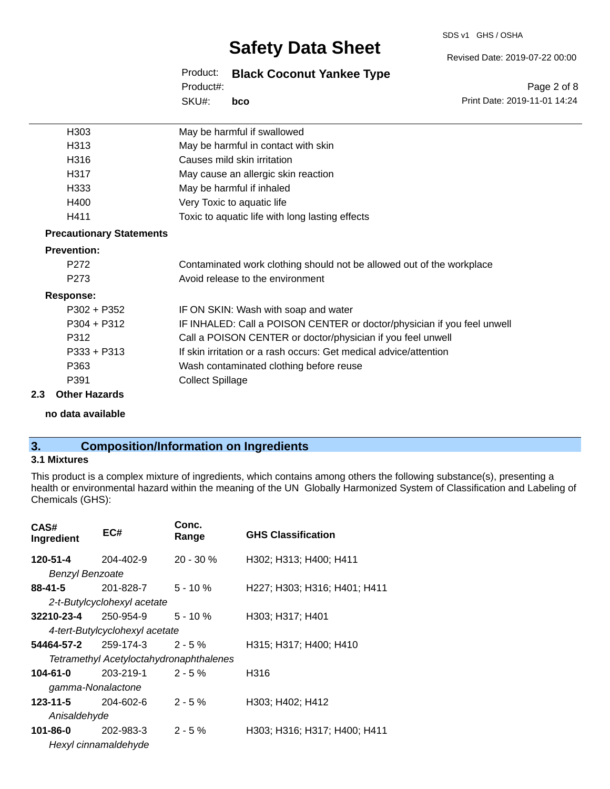SDS v1 GHS / OSHA

## **Safety Data Sheet**

Product: **Black Coconut Yankee Type**

SKU#: Product#: **bco** Page 2 of 8

Revised Date: 2019-07-22 00:00

Print Date: 2019-11-01 14:24

| H303                            | May be harmful if swallowed                                             |
|---------------------------------|-------------------------------------------------------------------------|
| H313                            | May be harmful in contact with skin                                     |
| H316                            | Causes mild skin irritation                                             |
| H317                            | May cause an allergic skin reaction                                     |
| H333                            | May be harmful if inhaled                                               |
| H400                            | Very Toxic to aquatic life                                              |
| H411                            | Toxic to aquatic life with long lasting effects                         |
| <b>Precautionary Statements</b> |                                                                         |
| <b>Prevention:</b>              |                                                                         |
| P272                            | Contaminated work clothing should not be allowed out of the workplace   |
| P273                            | Avoid release to the environment                                        |
| <b>Response:</b>                |                                                                         |
| $P302 + P352$                   | IF ON SKIN: Wash with soap and water                                    |
| $P304 + P312$                   | IF INHALED: Call a POISON CENTER or doctor/physician if you feel unwell |
| P312                            | Call a POISON CENTER or doctor/physician if you feel unwell             |
| $P333 + P313$                   | If skin irritation or a rash occurs: Get medical advice/attention       |
| P363                            | Wash contaminated clothing before reuse                                 |
| P391                            | <b>Collect Spillage</b>                                                 |
| 2.3<br><b>Other Hazards</b>     |                                                                         |

**no data available**

### **3. Composition/Information on Ingredients**

#### **3.1 Mixtures**

This product is a complex mixture of ingredients, which contains among others the following substance(s), presenting a health or environmental hazard within the meaning of the UN Globally Harmonized System of Classification and Labeling of Chemicals (GHS):

| CAS#<br>Ingredient                      | EC#                             | Conc.<br>Range | <b>GHS Classification</b>    |  |  |  |
|-----------------------------------------|---------------------------------|----------------|------------------------------|--|--|--|
| 120-51-4                                | 204-402-9                       | $20 - 30 \%$   | H302; H313; H400; H411       |  |  |  |
| <b>Benzyl Benzoate</b>                  |                                 |                |                              |  |  |  |
| 88-41-5                                 | 201-828-7                       | $5 - 10 \%$    | H227; H303; H316; H401; H411 |  |  |  |
|                                         | 2-t-Butylcyclohexyl acetate     |                |                              |  |  |  |
| 32210-23-4                              | 250-954-9                       | $5 - 10 \%$    | H303; H317; H401             |  |  |  |
|                                         | 4-tert-Butylcyclohexyl acetate  |                |                              |  |  |  |
|                                         | $54464 - 57 - 2$ 259-174-3 2-5% |                | H315; H317; H400; H410       |  |  |  |
| Tetramethyl Acetyloctahydronaphthalenes |                                 |                |                              |  |  |  |
| 104-61-0                                | 203-219-1                       | $2 - 5%$       | H316                         |  |  |  |
| gamma-Nonalactone                       |                                 |                |                              |  |  |  |
| 123-11-5                                | 204-602-6                       | $2 - 5 \%$     | H303; H402; H412             |  |  |  |
| Anisaldehyde                            |                                 |                |                              |  |  |  |
| 101-86-0                                | 202-983-3                       | $2 - 5%$       | H303; H316; H317; H400; H411 |  |  |  |
|                                         | Hexyl cinnamaldehyde            |                |                              |  |  |  |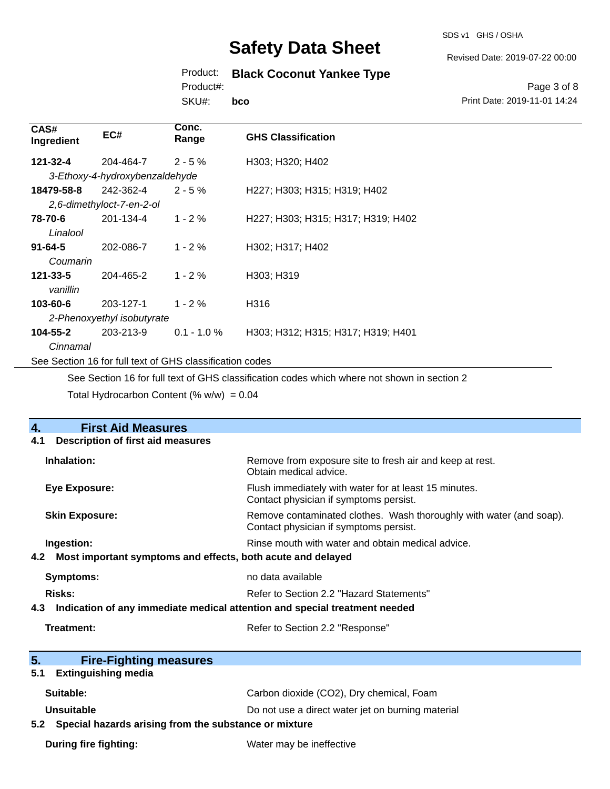SDS v1 GHS / OSHA

Revised Date: 2019-07-22 00:00

## Product: **Black Coconut Yankee Type**

Product#:

SKU#: **bco**

Page 3 of 8 Print Date: 2019-11-01 14:24

| CAS#<br>Ingredient                                       | EC#                            | Conc.<br>Range | <b>GHS Classification</b>          |  |  |
|----------------------------------------------------------|--------------------------------|----------------|------------------------------------|--|--|
| 121-32-4                                                 | 204-464-7                      | $2 - 5 \%$     | H303; H320; H402                   |  |  |
|                                                          | 3-Ethoxy-4-hydroxybenzaldehyde |                |                                    |  |  |
| 18479-58-8                                               | 242-362-4                      | $2 - 5%$       | H227; H303; H315; H319; H402       |  |  |
|                                                          | 2,6-dimethyloct-7-en-2-ol      |                |                                    |  |  |
| 78-70-6                                                  | 201-134-4                      | $1 - 2%$       | H227; H303; H315; H317; H319; H402 |  |  |
| Linalool                                                 |                                |                |                                    |  |  |
| $91 - 64 - 5$                                            | 202-086-7                      | $1 - 2%$       | H302; H317; H402                   |  |  |
| Coumarin                                                 |                                |                |                                    |  |  |
| $121 - 33 - 5$                                           | 204-465-2                      | $1 - 2%$       | H303; H319                         |  |  |
| vanillin                                                 |                                |                |                                    |  |  |
| 103-60-6                                                 | 203-127-1                      | $1 - 2%$       | H316                               |  |  |
|                                                          | 2-Phenoxyethyl isobutyrate     |                |                                    |  |  |
| 104-55-2                                                 | 203-213-9                      | $0.1 - 1.0 \%$ | H303; H312; H315; H317; H319; H401 |  |  |
| Cinnamal                                                 |                                |                |                                    |  |  |
| See Section 16 for full text of GHS classification codes |                                |                |                                    |  |  |

See Section 16 for full text of GHS classification codes which where not shown in section 2

Total Hydrocarbon Content (%  $w/w$ ) = 0.04

| <b>First Aid Measures</b><br>4.                                                   |                                                                                                               |  |  |
|-----------------------------------------------------------------------------------|---------------------------------------------------------------------------------------------------------------|--|--|
| <b>Description of first aid measures</b><br>4.1                                   |                                                                                                               |  |  |
| Inhalation:                                                                       | Remove from exposure site to fresh air and keep at rest.<br>Obtain medical advice.                            |  |  |
| <b>Eye Exposure:</b>                                                              | Flush immediately with water for at least 15 minutes.<br>Contact physician if symptoms persist.               |  |  |
| <b>Skin Exposure:</b>                                                             | Remove contaminated clothes. Wash thoroughly with water (and soap).<br>Contact physician if symptoms persist. |  |  |
| Ingestion:                                                                        | Rinse mouth with water and obtain medical advice.                                                             |  |  |
| 4.2 Most important symptoms and effects, both acute and delayed                   |                                                                                                               |  |  |
| <b>Symptoms:</b>                                                                  | no data available                                                                                             |  |  |
| Risks:                                                                            | Refer to Section 2.2 "Hazard Statements"                                                                      |  |  |
| Indication of any immediate medical attention and special treatment needed<br>4.3 |                                                                                                               |  |  |
| Treatment:                                                                        | Refer to Section 2.2 "Response"                                                                               |  |  |
|                                                                                   |                                                                                                               |  |  |
| 5.<br><b>Fire-Fighting measures</b>                                               |                                                                                                               |  |  |
| <b>Extinguishing media</b><br>5.1                                                 |                                                                                                               |  |  |
| Suitable:                                                                         | Carbon dioxide (CO2), Dry chemical, Foam                                                                      |  |  |
| Unsuitable                                                                        | Do not use a direct water jet on burning material                                                             |  |  |
| 5.2 Special hazards arising from the substance or mixture                         |                                                                                                               |  |  |
| <b>During fire fighting:</b>                                                      | Water may be ineffective                                                                                      |  |  |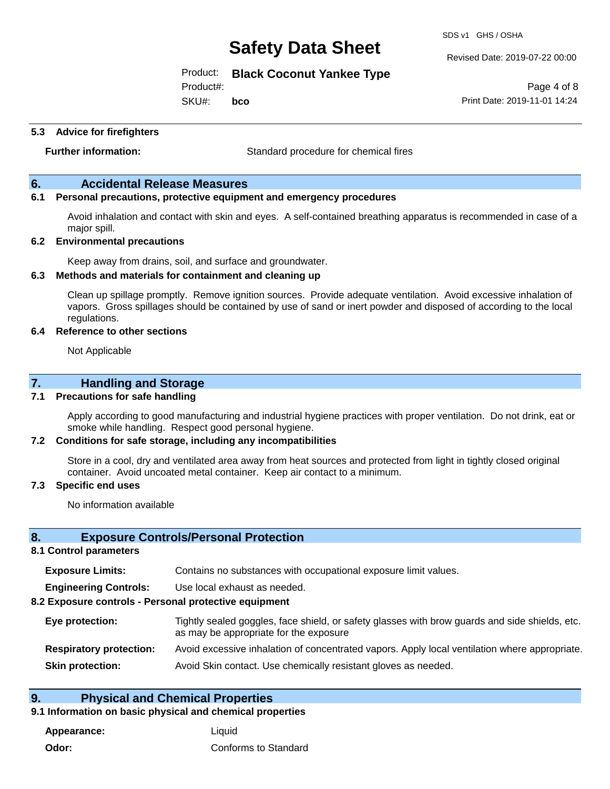SDS v1 GHS / OSHA

Revised Date: 2019-07-22 00:00

Product: **Black Coconut Yankee Type**

Product#:

SKU#: **bco**

**5.3 Advice for firefighters**

**Further information:** Standard procedure for chemical fires

#### **6. Accidental Release Measures**

#### **6.1 Personal precautions, protective equipment and emergency procedures**

Avoid inhalation and contact with skin and eyes. A self-contained breathing apparatus is recommended in case of a major spill.

#### **6.2 Environmental precautions**

Keep away from drains, soil, and surface and groundwater.

#### **6.3 Methods and materials for containment and cleaning up**

Clean up spillage promptly. Remove ignition sources. Provide adequate ventilation. Avoid excessive inhalation of vapors. Gross spillages should be contained by use of sand or inert powder and disposed of according to the local regulations.

#### **6.4 Reference to other sections**

Not Applicable

#### **7. Handling and Storage**

#### **7.1 Precautions for safe handling**

Apply according to good manufacturing and industrial hygiene practices with proper ventilation. Do not drink, eat or smoke while handling. Respect good personal hygiene.

#### **7.2 Conditions for safe storage, including any incompatibilities**

Store in a cool, dry and ventilated area away from heat sources and protected from light in tightly closed original container. Avoid uncoated metal container. Keep air contact to a minimum.

#### **7.3 Specific end uses**

No information available

#### **8. Exposure Controls/Personal Protection**

#### **8.1 Control parameters**

| <b>Exposure Limits:</b> | Contains no substances with occupational exposure limit values. |  |  |  |  |
|-------------------------|-----------------------------------------------------------------|--|--|--|--|
|-------------------------|-----------------------------------------------------------------|--|--|--|--|

**Engineering Controls:** Use local exhaust as needed.

#### **8.2 Exposure controls - Personal protective equipment**

| Eye protection:                | Tightly sealed goggles, face shield, or safety glasses with brow guards and side shields, etc.<br>as may be appropriate for the exposure |
|--------------------------------|------------------------------------------------------------------------------------------------------------------------------------------|
| <b>Respiratory protection:</b> | Avoid excessive inhalation of concentrated vapors. Apply local ventilation where appropriate.                                            |
| <b>Skin protection:</b>        | Avoid Skin contact. Use chemically resistant gloves as needed.                                                                           |

#### **9. Physical and Chemical Properties**

#### **9.1 Information on basic physical and chemical properties**

**Appearance:** Liquid **Odor:** Conforms to Standard

Page 4 of 8 Print Date: 2019-11-01 14:24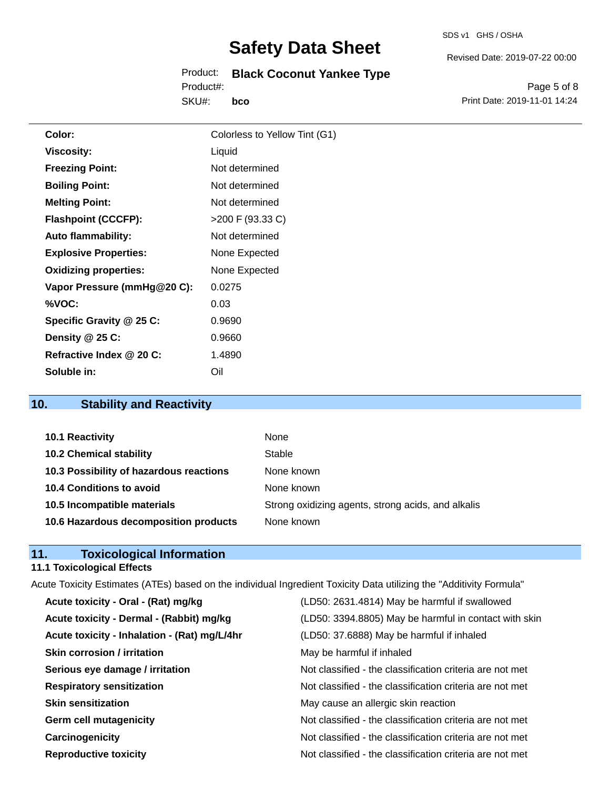Product: **Black Coconut Yankee Type** SKU#: Product#: **bco**

Page 5 of 8 Print Date: 2019-11-01 14:24

Revised Date: 2019-07-22 00:00

| Color:                       | Colorless to Yellow Tint (G1) |
|------------------------------|-------------------------------|
| <b>Viscosity:</b>            | Liquid                        |
| <b>Freezing Point:</b>       | Not determined                |
| <b>Boiling Point:</b>        | Not determined                |
| <b>Melting Point:</b>        | Not determined                |
| <b>Flashpoint (CCCFP):</b>   | $>200$ F (93.33 C)            |
| <b>Auto flammability:</b>    | Not determined                |
| <b>Explosive Properties:</b> | None Expected                 |
| <b>Oxidizing properties:</b> | None Expected                 |
| Vapor Pressure (mmHg@20 C):  | 0.0275                        |
| %VOC:                        | 0.03                          |
| Specific Gravity @ 25 C:     | 0.9690                        |
| Density @ 25 C:              | 0.9660                        |
| Refractive Index @ 20 C:     | 1.4890                        |
| Soluble in:                  | Oil                           |

### **10. Stability and Reactivity**

| 10.1 Reactivity                         | None                                               |
|-----------------------------------------|----------------------------------------------------|
| <b>10.2 Chemical stability</b>          | Stable                                             |
| 10.3 Possibility of hazardous reactions | None known                                         |
| 10.4 Conditions to avoid                | None known                                         |
| 10.5 Incompatible materials             | Strong oxidizing agents, strong acids, and alkalis |
| 10.6 Hazardous decomposition products   | None known                                         |

#### **11. Toxicological Information**

#### **11.1 Toxicological Effects**

| Acute Toxicity Estimates (ATEs) based on the individual Ingredient Toxicity Data utilizing the "Additivity Formula" |                                                          |  |  |  |
|---------------------------------------------------------------------------------------------------------------------|----------------------------------------------------------|--|--|--|
| Acute toxicity - Oral - (Rat) mg/kg                                                                                 | (LD50: 2631.4814) May be harmful if swallowed            |  |  |  |
| Acute toxicity - Dermal - (Rabbit) mg/kg                                                                            | (LD50: 3394.8805) May be harmful in contact with skin    |  |  |  |
| Acute toxicity - Inhalation - (Rat) mg/L/4hr                                                                        | (LD50: 37.6888) May be harmful if inhaled                |  |  |  |
| <b>Skin corrosion / irritation</b>                                                                                  | May be harmful if inhaled                                |  |  |  |
| Serious eye damage / irritation                                                                                     | Not classified - the classification criteria are not met |  |  |  |
| <b>Respiratory sensitization</b>                                                                                    | Not classified - the classification criteria are not met |  |  |  |
| <b>Skin sensitization</b>                                                                                           | May cause an allergic skin reaction                      |  |  |  |
| <b>Germ cell mutagenicity</b>                                                                                       | Not classified - the classification criteria are not met |  |  |  |
| Carcinogenicity                                                                                                     | Not classified - the classification criteria are not met |  |  |  |
| <b>Reproductive toxicity</b>                                                                                        | Not classified - the classification criteria are not met |  |  |  |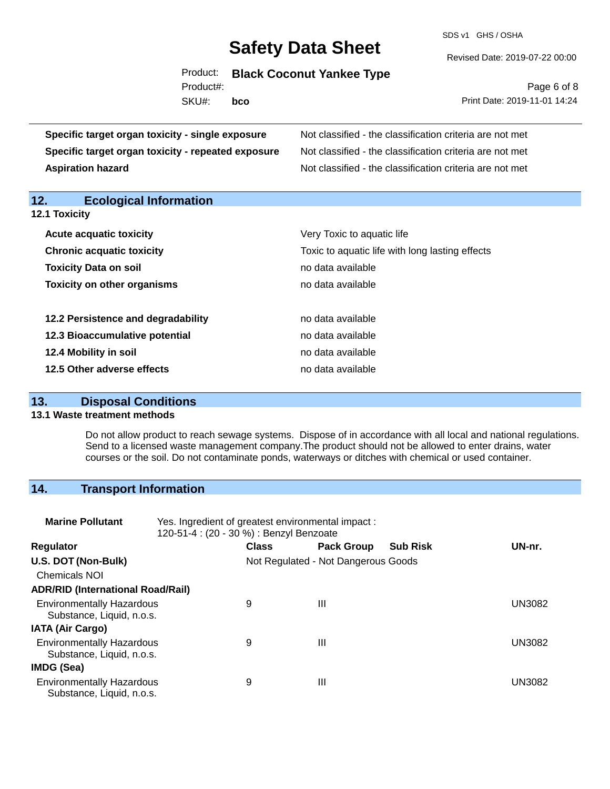SDS v1 GHS / OSHA

Revised Date: 2019-07-22 00:00

Product: **Black Coconut Yankee Type** SKU#: Product#: **bco**

Page 6 of 8 Print Date: 2019-11-01 14:24

| Specific target organ toxicity - single exposure   | Not classified - the classification criteria are not met<br>Not classified - the classification criteria are not met |  |  |  |
|----------------------------------------------------|----------------------------------------------------------------------------------------------------------------------|--|--|--|
| Specific target organ toxicity - repeated exposure |                                                                                                                      |  |  |  |
| <b>Aspiration hazard</b>                           | Not classified - the classification criteria are not met                                                             |  |  |  |
| 12.<br><b>Ecological Information</b>               |                                                                                                                      |  |  |  |
| 12.1 Toxicity                                      |                                                                                                                      |  |  |  |
| <b>Acute acquatic toxicity</b>                     | Very Toxic to aquatic life                                                                                           |  |  |  |
| <b>Chronic acquatic toxicity</b>                   | Toxic to aquatic life with long lasting effects                                                                      |  |  |  |
| <b>Toxicity Data on soil</b>                       | no data available                                                                                                    |  |  |  |
| <b>Toxicity on other organisms</b>                 | no data available                                                                                                    |  |  |  |
| 12.2 Persistence and degradability                 | no data available                                                                                                    |  |  |  |
| 12.3 Bioaccumulative potential                     | no data available                                                                                                    |  |  |  |
| 12.4 Mobility in soil                              | no data available                                                                                                    |  |  |  |
| 12.5 Other adverse effects                         | no data available                                                                                                    |  |  |  |

#### **13. Disposal Conditions**

#### **13.1 Waste treatment methods**

Do not allow product to reach sewage systems. Dispose of in accordance with all local and national regulations. Send to a licensed waste management company.The product should not be allowed to enter drains, water courses or the soil. Do not contaminate ponds, waterways or ditches with chemical or used container.

#### **14. Transport Information**

| <b>Marine Pollutant</b>                                       | Yes. Ingredient of greatest environmental impact:<br>120-51-4 : (20 - 30 %) : Benzyl Benzoate |              |                                     |                 |               |
|---------------------------------------------------------------|-----------------------------------------------------------------------------------------------|--------------|-------------------------------------|-----------------|---------------|
| <b>Regulator</b>                                              |                                                                                               | <b>Class</b> | <b>Pack Group</b>                   | <b>Sub Risk</b> | UN-nr.        |
| U.S. DOT (Non-Bulk)                                           |                                                                                               |              | Not Regulated - Not Dangerous Goods |                 |               |
| <b>Chemicals NOI</b>                                          |                                                                                               |              |                                     |                 |               |
| <b>ADR/RID (International Road/Rail)</b>                      |                                                                                               |              |                                     |                 |               |
| <b>Environmentally Hazardous</b><br>Substance, Liquid, n.o.s. |                                                                                               | 9            | Ш                                   |                 | <b>UN3082</b> |
| <b>IATA (Air Cargo)</b>                                       |                                                                                               |              |                                     |                 |               |
| <b>Environmentally Hazardous</b><br>Substance, Liquid, n.o.s. |                                                                                               | 9            | Ш                                   |                 | <b>UN3082</b> |
| IMDG (Sea)                                                    |                                                                                               |              |                                     |                 |               |
| <b>Environmentally Hazardous</b><br>Substance, Liquid, n.o.s. |                                                                                               | 9            | Ш                                   |                 | <b>UN3082</b> |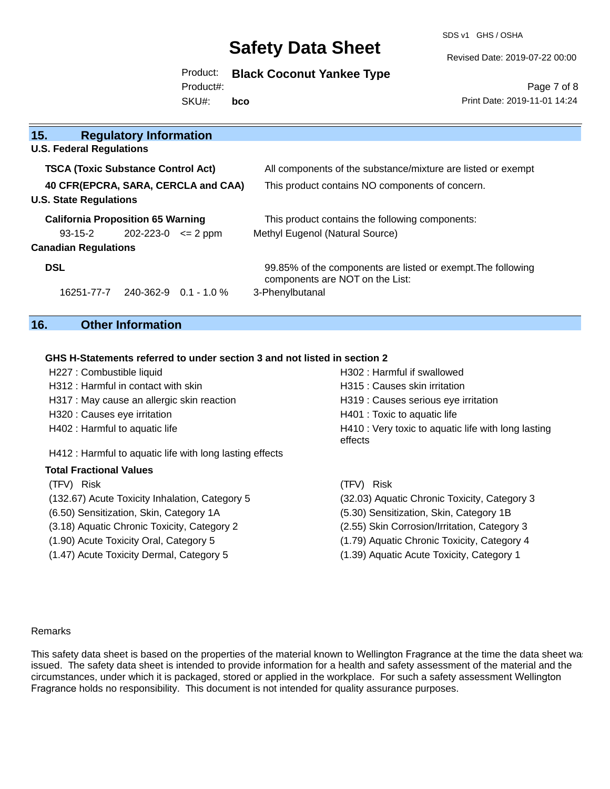SDS v1 GHS / OSHA

Revised Date: 2019-07-22 00:00

Product: **Black Coconut Yankee Type**

Product#:

SKU#: **bco**

Page 7 of 8 Print Date: 2019-11-01 14:24

| 15.                                       | <b>Regulatory Information</b> |  |                                                                                                 |  |
|-------------------------------------------|-------------------------------|--|-------------------------------------------------------------------------------------------------|--|
| <b>U.S. Federal Regulations</b>           |                               |  |                                                                                                 |  |
| <b>TSCA (Toxic Substance Control Act)</b> |                               |  | All components of the substance/mixture are listed or exempt                                    |  |
| 40 CFR(EPCRA, SARA, CERCLA and CAA)       |                               |  | This product contains NO components of concern.                                                 |  |
| <b>U.S. State Regulations</b>             |                               |  |                                                                                                 |  |
| <b>California Proposition 65 Warning</b>  |                               |  | This product contains the following components:                                                 |  |
| 93-15-2                                   | $202 - 223 - 0 \leq 2$ ppm    |  | Methyl Eugenol (Natural Source)                                                                 |  |
| <b>Canadian Regulations</b>               |                               |  |                                                                                                 |  |
| <b>DSL</b>                                |                               |  | 99.85% of the components are listed or exempt. The following<br>components are NOT on the List: |  |
| 16251-77-7                                | 240-362-9 0.1 - 1.0 %         |  | 3-Phenylbutanal                                                                                 |  |

### **16. Other Information**

#### **GHS H-Statements referred to under section 3 and not listed in section 2**

| H227 : Combustible liquid                                | H302 : Harmful if swallowed                                    |  |  |  |
|----------------------------------------------------------|----------------------------------------------------------------|--|--|--|
| H312 : Harmful in contact with skin                      | H315 : Causes skin irritation                                  |  |  |  |
| H317 : May cause an allergic skin reaction               | H319 : Causes serious eye irritation                           |  |  |  |
| H320 : Causes eye irritation                             | H401 : Toxic to aquatic life                                   |  |  |  |
| H402 : Harmful to aquatic life                           | H410 : Very toxic to aquatic life with long lasting<br>effects |  |  |  |
| H412 : Harmful to aquatic life with long lasting effects |                                                                |  |  |  |
| <b>Total Fractional Values</b>                           |                                                                |  |  |  |
| (TFV) Risk                                               | (TFV) Risk                                                     |  |  |  |
| (132.67) Acute Toxicity Inhalation, Category 5           | (32.03) Aquatic Chronic Toxicity, Category 3                   |  |  |  |
| (6.50) Sensitization, Skin, Category 1A                  | (5.30) Sensitization, Skin, Category 1B                        |  |  |  |
| (3.18) Aquatic Chronic Toxicity, Category 2              | (2.55) Skin Corrosion/Irritation, Category 3                   |  |  |  |
| (1.90) Acute Toxicity Oral, Category 5                   | (1.79) Aquatic Chronic Toxicity, Category 4                    |  |  |  |

(1.47) Acute Toxicity Dermal, Category 5 (1.39) Aquatic Acute Toxicity, Category 1

#### Remarks

This safety data sheet is based on the properties of the material known to Wellington Fragrance at the time the data sheet wa issued. The safety data sheet is intended to provide information for a health and safety assessment of the material and the circumstances, under which it is packaged, stored or applied in the workplace. For such a safety assessment Wellington Fragrance holds no responsibility. This document is not intended for quality assurance purposes.